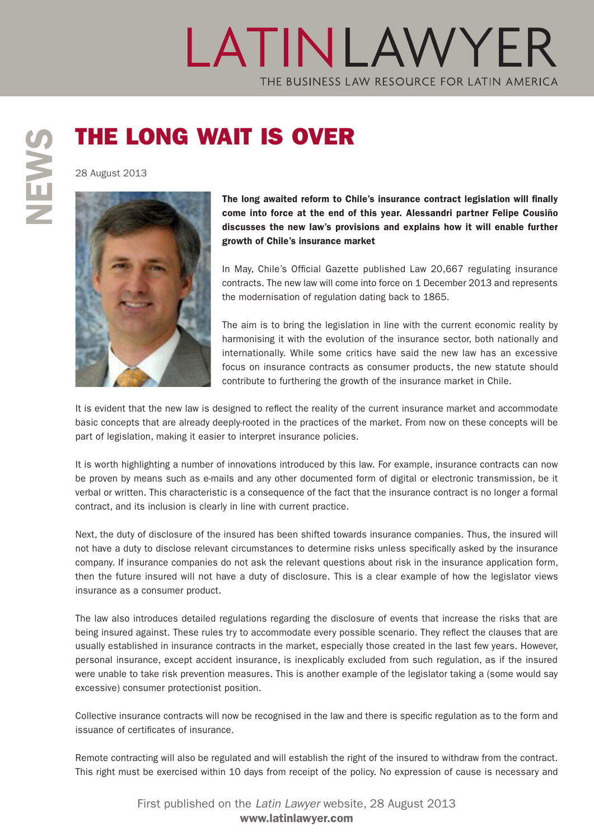## LATINLAWYER THE BUSINESS LAW RESOURCE FOR LATIN AMERICA

## THE LONG WAIT IS OVER<br>
28 August 2013<br>
The long awaited reform to Ch<br>
come into force at the end of

28 August 2013



The long awaited reform to Chile's insurance contract legislation will finally come into force at the end of this year. Alessandri partner Felipe Cousiño discusses the new law's provisions and explains how it will enable further growth of Chile's insurance market

In May, Chile's Official Gazette published Law 20,667 regulating insurance contracts. The new law will come into force on 1 December 2013 and represents the modernisation of regulation dating back to 1865.

The aim is to bring the legislation in line with the current economic reality by harmonising it with the evolution of the insurance sector, both nationally and internationally. While some critics have said the new law has an excessive focus on insurance contracts as consumer products, the new statute should contribute to furthering the growth of the insurance market in Chile.

It is evident that the new law is designed to reflect the reality of the current insurance market and accommodate basic concepts that are already deeply-rooted in the practices of the market. From now on these concepts will be part of legislation, making it easier to interpret insurance policies.

It is worth highlighting a number of innovations introduced by this law. For example, insurance contracts can now be proven by means such as e-mails and any other documented form of digital or electronic transmission, be it verbal or written. This characteristic is a consequence of the fact that the insurance contract is no longer a formal contract, and its inclusion is clearly in line with current practice.

Next, the duty of disclosure of the insured has been shifted towards insurance companies. Thus, the insured will not have a duty to disclose relevant circumstances to determine risks unless specifically asked by the insurance company. If insurance companies do not ask the relevant questions about risk in the insurance application form, then the future insured will not have a duty of disclosure. This is a clear example of how the legislator views insurance as a consumer product.

The law also introduces detailed regulations regarding the disclosure of events that increase the risks that are being insured against. These rules try to accommodate every possible scenario. They reflect the clauses that are usually established in insurance contracts in the market, especially those created in the last few years. However, personal insurance, except accident insurance, is inexplicably excluded from such regulation, as if the insured were unable to take risk prevention measures. This is another example of the legislator taking a (some would say excessive) consumer protectionist position.

Collective insurance contracts will now be recognised in the law and there is specific regulation as to the form and issuance of certificates of insurance.

Remote contracting will also be regulated and will establish the right of the insured to withdraw from the contract. This right must be exercised within 10 days from receipt of the policy. No expression of cause is necessary and

> First published on the *Latin Lawyer* website, 28 August 2013 www.latinlawyer.com